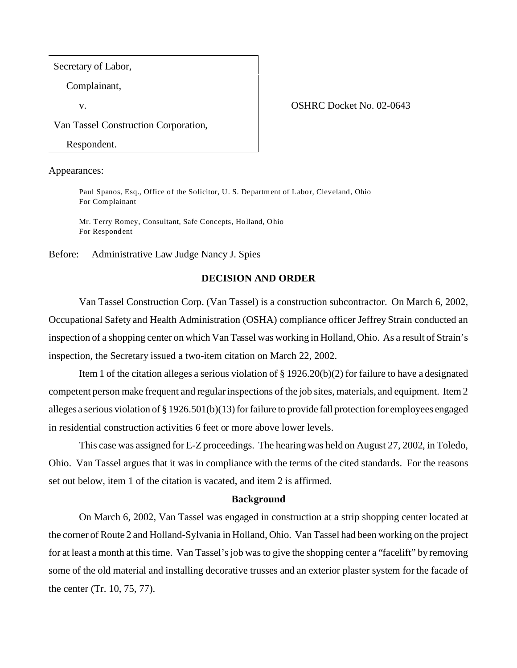Secretary of Labor,

Complainant,

#### v. COSHRC Docket No. 02-0643

Van Tassel Construction Corporation,

Respondent.

Appearances:

Paul Spanos, Esq., Office of the Solicitor, U. S. Department of Labor, Cleveland, Ohio For Complainant

Mr. Terry Romey, Consultant, Safe Concepts, Holland, Ohio For Respondent

Before: Administrative Law Judge Nancy J. Spies

## **DECISION AND ORDER**

Van Tassel Construction Corp. (Van Tassel) is a construction subcontractor. On March 6, 2002, Occupational Safety and Health Administration (OSHA) compliance officer Jeffrey Strain conducted an inspection of a shopping center on which Van Tassel was working in Holland, Ohio. As a result of Strain's inspection, the Secretary issued a two-item citation on March 22, 2002.

Item 1 of the citation alleges a serious violation of  $\S 1926.20(b)(2)$  for failure to have a designated competent person make frequent and regular inspections of the job sites, materials, and equipment. Item 2 alleges a serious violation of § 1926.501(b)(13) for failure to provide fall protection for employees engaged in residential construction activities 6 feet or more above lower levels.

This case was assigned for E-Z proceedings. The hearing was held on August 27, 2002, in Toledo, Ohio. Van Tassel argues that it was in compliance with the terms of the cited standards. For the reasons set out below, item 1 of the citation is vacated, and item 2 is affirmed.

#### **Background**

On March 6, 2002, Van Tassel was engaged in construction at a strip shopping center located at the corner of Route 2 and Holland-Sylvania in Holland, Ohio. Van Tassel had been working on the project for at least a month at this time. Van Tassel's job was to give the shopping center a "facelift" by removing some of the old material and installing decorative trusses and an exterior plaster system for the facade of the center (Tr. 10, 75, 77).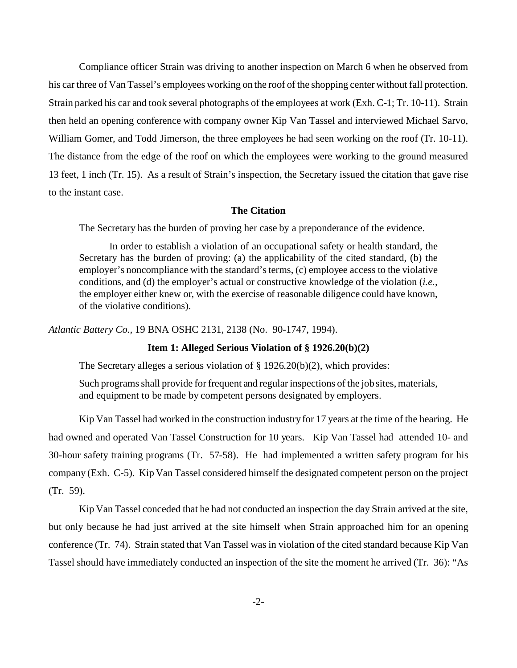Compliance officer Strain was driving to another inspection on March 6 when he observed from his car three of Van Tassel's employees working on the roof of the shopping center without fall protection. Strain parked his car and took several photographs of the employees at work (Exh. C-1; Tr. 10-11). Strain then held an opening conference with company owner Kip Van Tassel and interviewed Michael Sarvo, William Gomer, and Todd Jimerson, the three employees he had seen working on the roof (Tr. 10-11). The distance from the edge of the roof on which the employees were working to the ground measured 13 feet, 1 inch (Tr. 15). As a result of Strain's inspection, the Secretary issued the citation that gave rise to the instant case.

# **The Citation**

The Secretary has the burden of proving her case by a preponderance of the evidence.

In order to establish a violation of an occupational safety or health standard, the Secretary has the burden of proving: (a) the applicability of the cited standard, (b) the employer's noncompliance with the standard's terms, (c) employee access to the violative conditions, and (d) the employer's actual or constructive knowledge of the violation (*i.e.,* the employer either knew or, with the exercise of reasonable diligence could have known, of the violative conditions).

*Atlantic Battery Co.,* 19 BNA OSHC 2131, 2138 (No. 90-1747, 1994).

### **Item 1: Alleged Serious Violation of § 1926.20(b)(2)**

The Secretary alleges a serious violation of § 1926.20(b)(2), which provides:

Such programs shall provide for frequent and regular inspections of the job sites, materials, and equipment to be made by competent persons designated by employers.

Kip Van Tassel had worked in the construction industry for 17 years at the time of the hearing. He had owned and operated Van Tassel Construction for 10 years. Kip Van Tassel had attended 10- and 30-hour safety training programs (Tr. 57-58). He had implemented a written safety program for his company (Exh. C-5). Kip Van Tassel considered himself the designated competent person on the project (Tr. 59).

Kip Van Tassel conceded that he had not conducted an inspection the day Strain arrived at the site, but only because he had just arrived at the site himself when Strain approached him for an opening conference (Tr. 74). Strain stated that Van Tassel was in violation of the cited standard because Kip Van Tassel should have immediately conducted an inspection of the site the moment he arrived (Tr. 36): "As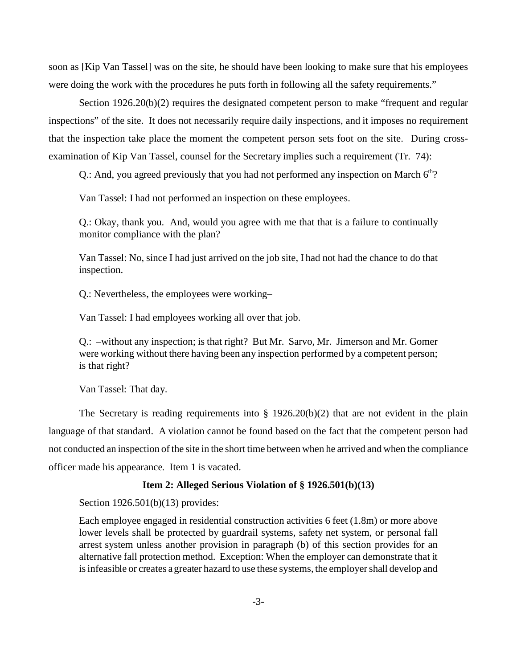soon as [Kip Van Tassel] was on the site, he should have been looking to make sure that his employees were doing the work with the procedures he puts forth in following all the safety requirements."

Section 1926.20(b)(2) requires the designated competent person to make "frequent and regular inspections" of the site. It does not necessarily require daily inspections, and it imposes no requirement that the inspection take place the moment the competent person sets foot on the site. During crossexamination of Kip Van Tassel, counsel for the Secretary implies such a requirement (Tr. 74):

Q.: And, you agreed previously that you had not performed any inspection on March  $6<sup>th</sup>$ ?

Van Tassel: I had not performed an inspection on these employees.

Q.: Okay, thank you. And, would you agree with me that that is a failure to continually monitor compliance with the plan?

Van Tassel: No, since I had just arrived on the job site, I had not had the chance to do that inspection.

Q.: Nevertheless, the employees were working–

Van Tassel: I had employees working all over that job.

Q.: –without any inspection; is that right? But Mr. Sarvo, Mr. Jimerson and Mr. Gomer were working without there having been any inspection performed by a competent person; is that right?

Van Tassel: That day.

The Secretary is reading requirements into  $\S 1926.20(b)(2)$  that are not evident in the plain language of that standard. A violation cannot be found based on the fact that the competent person had not conducted an inspection of the site in the short time between when he arrived and when the compliance officer made his appearance. Item 1 is vacated.

### **Item 2: Alleged Serious Violation of § 1926.501(b)(13)**

Section 1926.501(b)(13) provides:

Each employee engaged in residential construction activities 6 feet (1.8m) or more above lower levels shall be protected by guardrail systems, safety net system, or personal fall arrest system unless another provision in paragraph (b) of this section provides for an alternative fall protection method. Exception: When the employer can demonstrate that it is infeasible or creates a greater hazard to use these systems, the employer shall develop and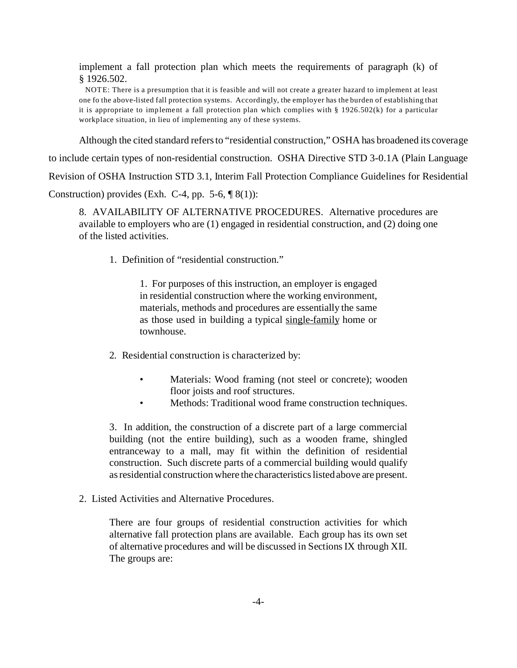implement a fall protection plan which meets the requirements of paragraph (k) of § 1926.502.

 NOTE: There is a presumption that it is feasible and will not create a greater hazard to implement at least one fo the above-listed fall protection systems. Accordingly, the employer has the burden of establishing that it is appropriate to implement a fall protection plan which complies with § 1926.502(k) for a particular workplace situation, in lieu of implementing any of these systems.

Although the cited standard refers to "residential construction," OSHA has broadened its coverage

to include certain types of non-residential construction. OSHA Directive STD 3-0.1A (Plain Language

Revision of OSHA Instruction STD 3.1, Interim Fall Protection Compliance Guidelines for Residential

Construction) provides (Exh. C-4, pp. 5-6,  $\sqrt{8(1)}$ ):

8. AVAILABILITY OF ALTERNATIVE PROCEDURES. Alternative procedures are available to employers who are (1) engaged in residential construction, and (2) doing one of the listed activities.

1. Definition of "residential construction."

1. For purposes of this instruction, an employer is engaged in residential construction where the working environment, materials, methods and procedures are essentially the same as those used in building a typical single-family home or townhouse.

2. Residential construction is characterized by:

- Materials: Wood framing (not steel or concrete); wooden floor joists and roof structures.
- Methods: Traditional wood frame construction techniques.

3. In addition, the construction of a discrete part of a large commercial building (not the entire building), such as a wooden frame, shingled entranceway to a mall, may fit within the definition of residential construction. Such discrete parts of a commercial building would qualify as residential construction where the characteristics listed above are present.

2. Listed Activities and Alternative Procedures.

There are four groups of residential construction activities for which alternative fall protection plans are available. Each group has its own set of alternative procedures and will be discussed in Sections IX through XII. The groups are: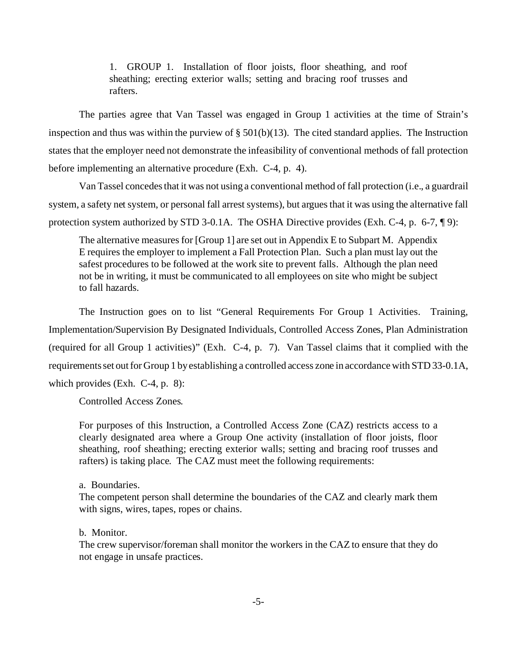1. GROUP 1. Installation of floor joists, floor sheathing, and roof sheathing; erecting exterior walls; setting and bracing roof trusses and rafters.

The parties agree that Van Tassel was engaged in Group 1 activities at the time of Strain's inspection and thus was within the purview of  $\S 501(b)(13)$ . The cited standard applies. The Instruction states that the employer need not demonstrate the infeasibility of conventional methods of fall protection before implementing an alternative procedure (Exh. C-4, p. 4).

Van Tassel concedes that it was not using a conventional method of fall protection (i.e., a guardrail system, a safety net system, or personal fall arrest systems), but argues that it was using the alternative fall protection system authorized by STD 3-0.1A. The OSHA Directive provides (Exh. C-4, p. 6-7, ¶ 9):

The alternative measures for [Group 1] are set out in Appendix E to Subpart M. Appendix E requires the employer to implement a Fall Protection Plan. Such a plan must lay out the safest procedures to be followed at the work site to prevent falls. Although the plan need not be in writing, it must be communicated to all employees on site who might be subject to fall hazards.

The Instruction goes on to list "General Requirements For Group 1 Activities. Training, Implementation/Supervision By Designated Individuals, Controlled Access Zones, Plan Administration (required for all Group 1 activities)" (Exh. C-4, p. 7). Van Tassel claims that it complied with the requirements set out for Group 1 by establishing a controlled access zone in accordance with STD 33-0.1A, which provides (Exh. C-4, p. 8):

Controlled Access Zones.

For purposes of this Instruction, a Controlled Access Zone (CAZ) restricts access to a clearly designated area where a Group One activity (installation of floor joists, floor sheathing, roof sheathing; erecting exterior walls; setting and bracing roof trusses and rafters) is taking place. The CAZ must meet the following requirements:

### a. Boundaries.

The competent person shall determine the boundaries of the CAZ and clearly mark them with signs, wires, tapes, ropes or chains.

#### b. Monitor.

The crew supervisor/foreman shall monitor the workers in the CAZ to ensure that they do not engage in unsafe practices.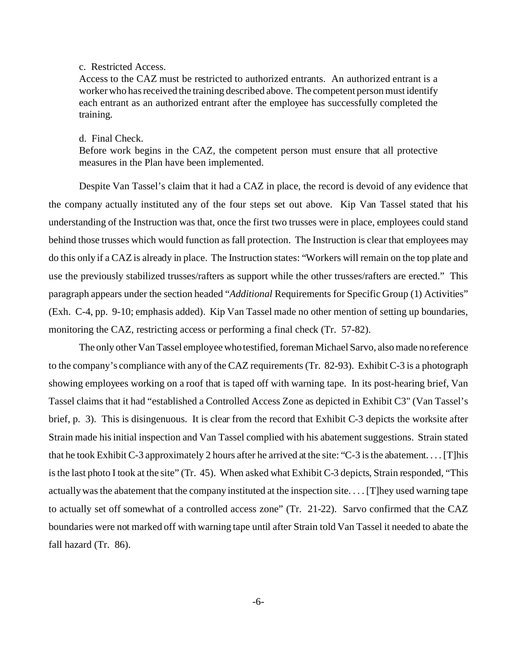c. Restricted Access.

Access to the CAZ must be restricted to authorized entrants. An authorized entrant is a worker who has received the training described above. The competent person must identify each entrant as an authorized entrant after the employee has successfully completed the training.

d. Final Check.

Before work begins in the CAZ, the competent person must ensure that all protective measures in the Plan have been implemented.

Despite Van Tassel's claim that it had a CAZ in place, the record is devoid of any evidence that the company actually instituted any of the four steps set out above. Kip Van Tassel stated that his understanding of the Instruction was that, once the first two trusses were in place, employees could stand behind those trusses which would function as fall protection. The Instruction is clear that employees may do this only if a CAZ is already in place. The Instruction states: "Workers will remain on the top plate and use the previously stabilized trusses/rafters as support while the other trusses/rafters are erected." This paragraph appears under the section headed "*Additional* Requirements for Specific Group (1) Activities" (Exh. C-4, pp. 9-10; emphasis added). Kip Van Tassel made no other mention of setting up boundaries, monitoring the CAZ, restricting access or performing a final check (Tr. 57-82).

The only other Van Tassel employee who testified, foreman Michael Sarvo, also made no reference to the company's compliance with any of the CAZ requirements (Tr. 82-93). Exhibit C-3 is a photograph showing employees working on a roof that is taped off with warning tape. In its post-hearing brief, Van Tassel claims that it had "established a Controlled Access Zone as depicted in Exhibit C3" (Van Tassel's brief, p. 3). This is disingenuous. It is clear from the record that Exhibit C-3 depicts the worksite after Strain made his initial inspection and Van Tassel complied with his abatement suggestions. Strain stated that he took Exhibit C-3 approximately 2 hours after he arrived at the site: "C-3 is the abatement.... [T]his is the last photo I took at the site" (Tr. 45). When asked what Exhibit C-3 depicts, Strain responded, "This actually was the abatement that the company instituted at the inspection site. . . . [T]hey used warning tape to actually set off somewhat of a controlled access zone" (Tr. 21-22). Sarvo confirmed that the CAZ boundaries were not marked off with warning tape until after Strain told Van Tassel it needed to abate the fall hazard (Tr. 86).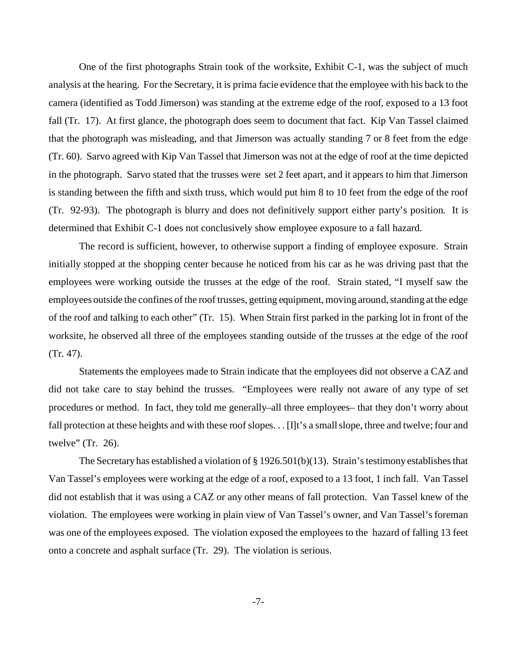One of the first photographs Strain took of the worksite, Exhibit C-1, was the subject of much analysis at the hearing. For the Secretary, it is prima facie evidence that the employee with his back to the camera (identified as Todd Jimerson) was standing at the extreme edge of the roof, exposed to a 13 foot fall (Tr. 17). At first glance, the photograph does seem to document that fact. Kip Van Tassel claimed that the photograph was misleading, and that Jimerson was actually standing 7 or 8 feet from the edge (Tr. 60). Sarvo agreed with Kip Van Tassel that Jimerson was not at the edge of roof at the time depicted in the photograph. Sarvo stated that the trusses were set 2 feet apart, and it appears to him that Jimerson is standing between the fifth and sixth truss, which would put him 8 to 10 feet from the edge of the roof (Tr. 92-93). The photograph is blurry and does not definitively support either party's position. It is determined that Exhibit C-1 does not conclusively show employee exposure to a fall hazard.

The record is sufficient, however, to otherwise support a finding of employee exposure. Strain initially stopped at the shopping center because he noticed from his car as he was driving past that the employees were working outside the trusses at the edge of the roof. Strain stated, "I myself saw the employees outside the confines of the roof trusses, getting equipment, moving around, standing at the edge of the roof and talking to each other" (Tr. 15). When Strain first parked in the parking lot in front of the worksite, he observed all three of the employees standing outside of the trusses at the edge of the roof (Tr. 47).

Statements the employees made to Strain indicate that the employees did not observe a CAZ and did not take care to stay behind the trusses. "Employees were really not aware of any type of set procedures or method. In fact, they told me generally–all three employees– that they don't worry about fall protection at these heights and with these roof slopes... [I]t's a small slope, three and twelve; four and twelve" (Tr. 26).

The Secretary has established a violation of § 1926.501(b)(13). Strain's testimony establishes that Van Tassel's employees were working at the edge of a roof, exposed to a 13 foot, 1 inch fall. Van Tassel did not establish that it was using a CAZ or any other means of fall protection. Van Tassel knew of the violation. The employees were working in plain view of Van Tassel's owner, and Van Tassel's foreman was one of the employees exposed. The violation exposed the employees to the hazard of falling 13 feet onto a concrete and asphalt surface (Tr. 29). The violation is serious.